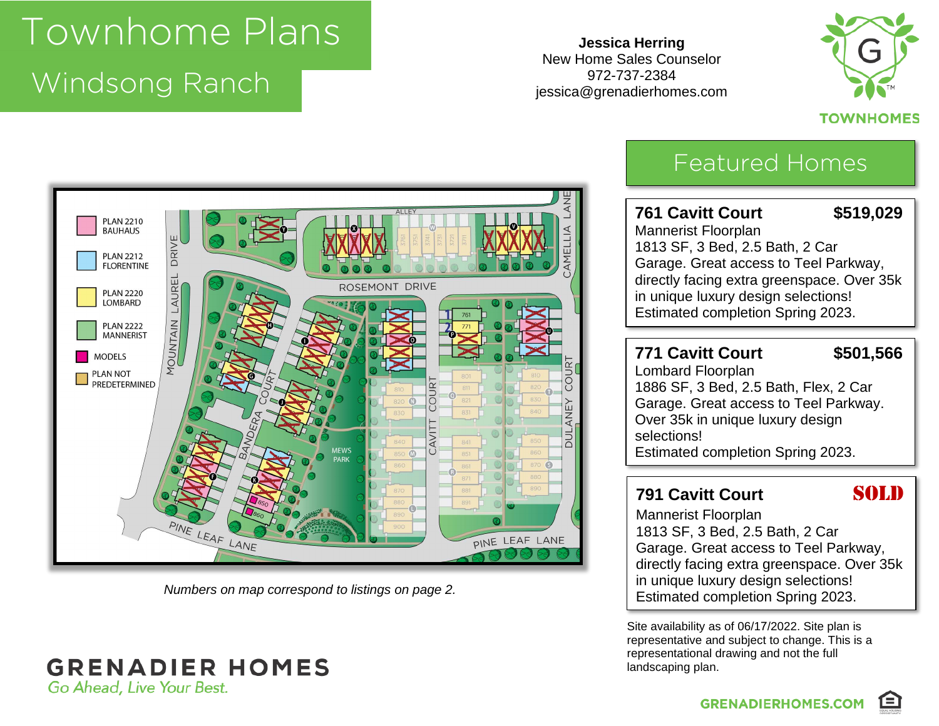## Townhome Plans

### Windsong Panch Windsong Ranch

**Jessica Herring** New Home Sales Counselor 972-737-2384 jessica@grenadierhomes.com



#### **TOWNHOMES**



*Numbers on map correspond to listings on page 2.*

#### **GRENADIER HOMES** Go Ahead, Live Your Best.

## Featured Homes

#### **761 Cavitt Court \$519,029** Mannerist Floorplan 1813 SF, 3 Bed, 2.5 Bath, 2 Car Garage. Great access to Teel Parkway, directly facing extra greenspace. Over 35k in unique luxury design selections! Estimated completion Spring 2023.

#### **771 Cavitt Court \$501,566**

Lombard Floorplan 1886 SF, 3 Bed, 2.5 Bath, Flex, 2 Car Garage. Great access to Teel Parkway. Over 35k in unique luxury design selections! Estimated completion Spring 2023.

#### **791 Cavitt Court SOLD**

Mannerist Floorplan 1813 SF, 3 Bed, 2.5 Bath, 2 Car Garage. Great access to Teel Parkway, directly facing extra greenspace. Over 35k in unique luxury design selections! Estimated completion Spring 2023.

Site availability as of 06/17/2022. Site plan is representative and subject to change. This is a representational drawing and not the full landscaping plan.